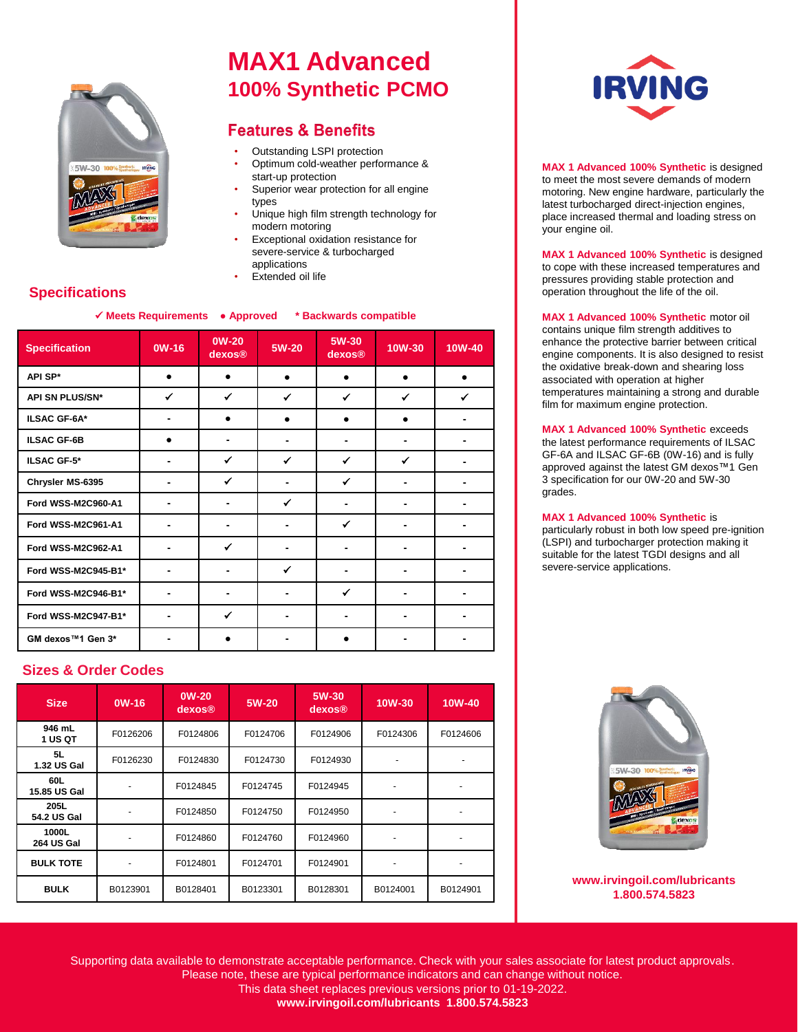

# **MAX1 Advanced 100% Synthetic PCMO**

### **Features & Benefits**

- Outstanding LSPI protection
- Optimum cold-weather performance & start-up protection
- Superior wear protection for all engine types
- Unique high film strength technology for modern motoring
- Exceptional oxidation resistance for severe-service & turbocharged applications
- **Extended oil life**

### **Specifications**

**Meets Requirements ● Approved \* Backwards compatible** 

| <b>Specification</b> | $OW-16$ | <b>OW-20</b><br>dexos®       | 5W-20        | 5W-30<br>dexos® | 10W-30 | $10W-40$     |
|----------------------|---------|------------------------------|--------------|-----------------|--------|--------------|
| API SP*              |         |                              |              |                 |        |              |
| API SN PLUS/SN*      | ✔       | $\checkmark$                 | ✓            | $\checkmark$    | ✓      | $\checkmark$ |
| <b>ILSAC GF-6A*</b>  |         | $\bullet$                    |              |                 |        |              |
| <b>ILSAC GF-6B</b>   |         | ٠                            |              | $\blacksquare$  |        |              |
| <b>ILSAC GF-5*</b>   |         | ✔                            | ✔            | ✓               | ✓      |              |
| Chrysler MS-6395     |         | ✓                            |              | $\checkmark$    | -      |              |
| Ford WSS-M2C960-A1   |         | ٠                            | $\checkmark$ |                 |        |              |
| Ford WSS-M2C961-A1   |         | $\qquad \qquad \blacksquare$ |              | $\checkmark$    | -      |              |
| Ford WSS-M2C962-A1   |         | $\checkmark$                 |              |                 |        |              |
| Ford WSS-M2C945-B1*  |         |                              | ✔            |                 |        |              |
| Ford WSS-M2C946-B1*  |         | ٠                            |              | $\checkmark$    |        |              |
| Ford WSS-M2C947-B1*  |         | $\checkmark$                 |              |                 |        |              |
| GM dexos™1 Gen 3*    |         |                              |              |                 |        |              |

#### **Sizes & Order Codes**

| <b>Size</b>                | $OW-16$  | <b>OW-20</b><br>dexos® | 5W-20    | 5W-30<br>dexos® | 10W-30   | 10W-40   |
|----------------------------|----------|------------------------|----------|-----------------|----------|----------|
| 946 mL<br>1 US QT          | F0126206 | F0124806               | F0124706 | F0124906        | F0124306 | F0124606 |
| 5L<br>1.32 US Gal          | F0126230 | F0124830               | F0124730 | F0124930        |          |          |
| 60L<br>15.85 US Gal        |          | F0124845               | F0124745 | F0124945        |          |          |
| 205L<br>54.2 US Gal        |          | F0124850               | F0124750 | F0124950        |          |          |
| 1000L<br><b>264 US Gal</b> |          | F0124860               | F0124760 | F0124960        |          |          |
| <b>BULK TOTE</b>           |          | F0124801               | F0124701 | F0124901        |          |          |
| <b>BULK</b>                | B0123901 | B0128401               | B0123301 | B0128301        | B0124001 | B0124901 |



**MAX 1 Advanced 100% Synthetic** is designed to meet the most severe demands of modern motoring. New engine hardware, particularly the latest turbocharged direct-injection engines, place increased thermal and loading stress on your engine oil.

**MAX 1 Advanced 100% Synthetic** is designed to cope with these increased temperatures and pressures providing stable protection and operation throughout the life of the oil.

**MAX 1 Advanced 100% Synthetic** motor oil contains unique film strength additives to enhance the protective barrier between critical engine components. It is also designed to resist the oxidative break-down and shearing loss associated with operation at higher temperatures maintaining a strong and durable film for maximum engine protection.

**MAX 1 Advanced 100% Synthetic** exceeds the latest performance requirements of ILSAC GF-6A and ILSAC GF-6B (0W-16) and is fully approved against the latest GM dexos™1 Gen 3 specification for our 0W-20 and 5W-30 grades.

#### **MAX 1 Advanced 100% Synthetic** is

particularly robust in both low speed pre-ignition (LSPI) and turbocharger protection making it suitable for the latest TGDI designs and all severe-service applications.



**www.irvingoil.com/lubricants 1.800.574.5823**

Supporting data available to demonstrate acceptable performance. Check with your sales associate for latest product approvals. Please note, these are typical performance indicators and can change without notice.

This data sheet replaces previous versions prior to 01-19-2022. **www.irvingoil.com/lubricants 1.800.574.5823**